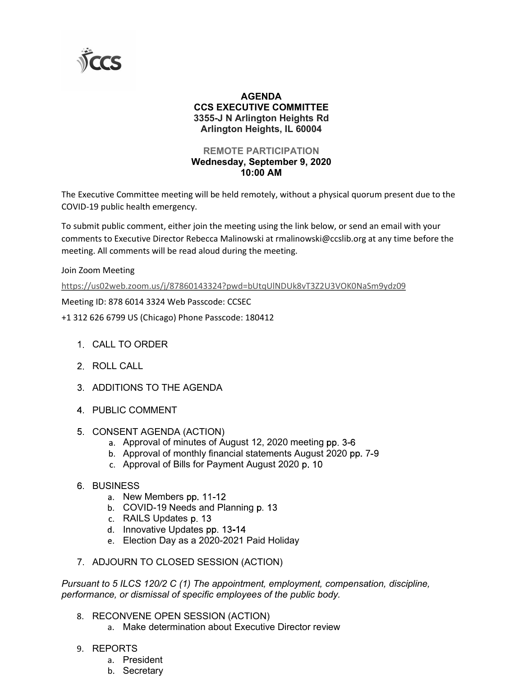

## AGENDA CCS EXECUTIVE COMMITTEE 3355-J N Arlington Heights Rd Arlington Heights, IL 60004

## REMOTE PARTICIPATION Wednesday, September 9, 2020 10:00 AM

The Executive Committee meeting will be held remotely, without a physical quorum present due to the COVID-19 public health emergency.

To submit public comment, either join the meeting using the link below, or send an email with your comments to Executive Director Rebecca Malinowski at rmalinowski@ccslib.org at any time before the meeting. All comments will be read aloud during the meeting.

Join Zoom Meeting

https://us02web.zoom.us/j/87860143324?pwd=bUtqUlNDUk8vT3Z2U3VOK0NaSm9ydz09

Meeting ID: 878 6014 3324 Web Passcode: CCSEC

+1 312 626 6799 US (Chicago) Phone Passcode: 180412

- CALL TO ORDER
- 2 ROLL CALL
- 3. ADDITIONS TO THE AGENDA
- PUBLIC COMMENT
- 5. CONSENT AGENDA (ACTION)
	- a. Approval of minutes of August 12, 2020 meeting pp. 3-6
	- b. Approval of monthly financial statements August 2020 pp. 7-9
	- c. Approval of Bills for Payment August 2020 p. 10
- **6 BUSINESS** 
	- a. New Members pp. 11-12
	- b. COVID-19 Needs and Planning p. 13
	- c. RAILS Updates p. 13
	- d. Innovative Updates pp. 13-14
	- Election Day as a 2020-2021 Paid Holiday
- 7. ADJOURN TO CLOSED SESSION (ACTION)

Pursuant to 5 ILCS 120/2 C (1) The appointment, employment, compensation, discipline, performance, or dismissal of specific employees of the public body.

- 8. RECONVENE OPEN SESSION (ACTION)
	- a. Make determination about Executive Director review
- 9. REPORTS
	- a. President
	- b. Secretary